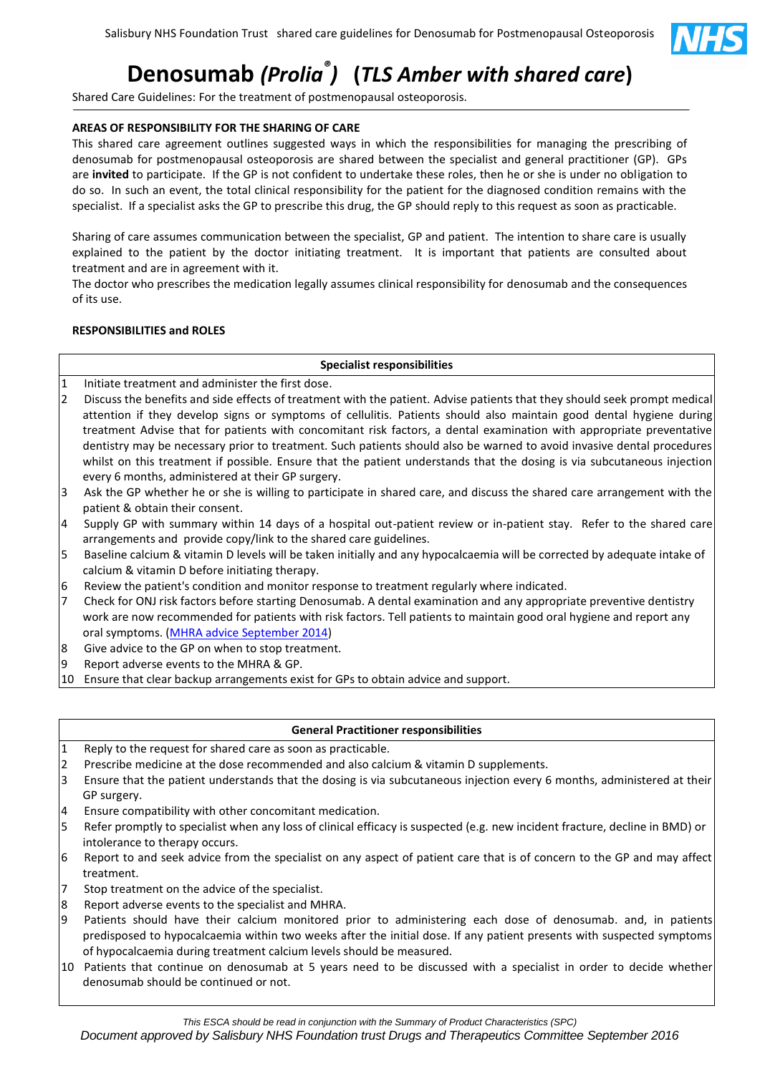

# **Denosumab** *(Prolia® )* **(***TLS Amber with shared care***)**

Shared Care Guidelines: For the treatment of postmenopausal osteoporosis.

## **AREAS OF RESPONSIBILITY FOR THE SHARING OF CARE**

This shared care agreement outlines suggested ways in which the responsibilities for managing the prescribing of denosumab for postmenopausal osteoporosis are shared between the specialist and general practitioner (GP). GPs are **invited** to participate. If the GP is not confident to undertake these roles, then he or she is under no obligation to do so. In such an event, the total clinical responsibility for the patient for the diagnosed condition remains with the specialist. If a specialist asks the GP to prescribe this drug, the GP should reply to this request as soon as practicable.

Sharing of care assumes communication between the specialist, GP and patient. The intention to share care is usually explained to the patient by the doctor initiating treatment. It is important that patients are consulted about treatment and are in agreement with it.

The doctor who prescribes the medication legally assumes clinical responsibility for denosumab and the consequences of its use.

# **RESPONSIBILITIES and ROLES**

# **Specialist responsibilities**

- 1 Initiate treatment and administer the first dose.
- 2 Discuss the benefits and side effects of treatment with the patient. Advise patients that they should seek prompt medical attention if they develop signs or symptoms of cellulitis. Patients should also maintain good dental hygiene during treatment Advise that for patients with concomitant risk factors, a dental examination with appropriate preventative dentistry may be necessary prior to treatment. Such patients should also be warned to avoid invasive dental procedures whilst on this treatment if possible. Ensure that the patient understands that the dosing is via subcutaneous injection every 6 months, administered at their GP surgery.
- 3 Ask the GP whether he or she is willing to participate in shared care, and discuss the shared care arrangement with the patient & obtain their consent.
- 4 Supply GP with summary within 14 days of a hospital out-patient review or in-patient stay. Refer to the shared care arrangements and provide copy/link to the shared care guidelines.
- 5 Baseline calcium & vitamin D levels will be taken initially and any hypocalcaemia will be corrected by adequate intake of calcium & vitamin D before initiating therapy.
- 6 Review the patient's condition and monitor response to treatment regularly where indicated.
- 7 Check for ONJ risk factors before starting Denosumab. A dental examination and any appropriate preventive dentistry work are now recommended for patients with risk factors. Tell patients to maintain good oral hygiene and report any oral symptoms. [\(MHRA advice September 2014\)](https://www.gov.uk/drug-safety-update/denosumab-updated-recommendations)
- 8 Give advice to the GP on when to stop treatment.
- 9 Report adverse events to the MHRA & GP.
- 10 Ensure that clear backup arrangements exist for GPs to obtain advice and support.

# **General Practitioner responsibilities**

- 1 Reply to the request for shared care as soon as practicable.
- 2 Prescribe medicine at the dose recommended and also calcium & vitamin D supplements.
- 3 Ensure that the patient understands that the dosing is via subcutaneous injection every 6 months, administered at their GP surgery.
- 4 Ensure compatibility with other concomitant medication.
- 5 Refer promptly to specialist when any loss of clinical efficacy is suspected (e.g. new incident fracture, decline in BMD) or intolerance to therapy occurs.
- 6 Report to and seek advice from the specialist on any aspect of patient care that is of concern to the GP and may affect treatment.
- 7 Stop treatment on the advice of the specialist.
- 8 Report adverse events to the specialist and MHRA.
- 9 Patients should have their calcium monitored prior to administering each dose of denosumab. and, in patients predisposed to hypocalcaemia within two weeks after the initial dose. If any patient presents with suspected symptoms of hypocalcaemia during treatment calcium levels should be measured.
- 10 Patients that continue on denosumab at 5 years need to be discussed with a specialist in order to decide whether denosumab should be continued or not.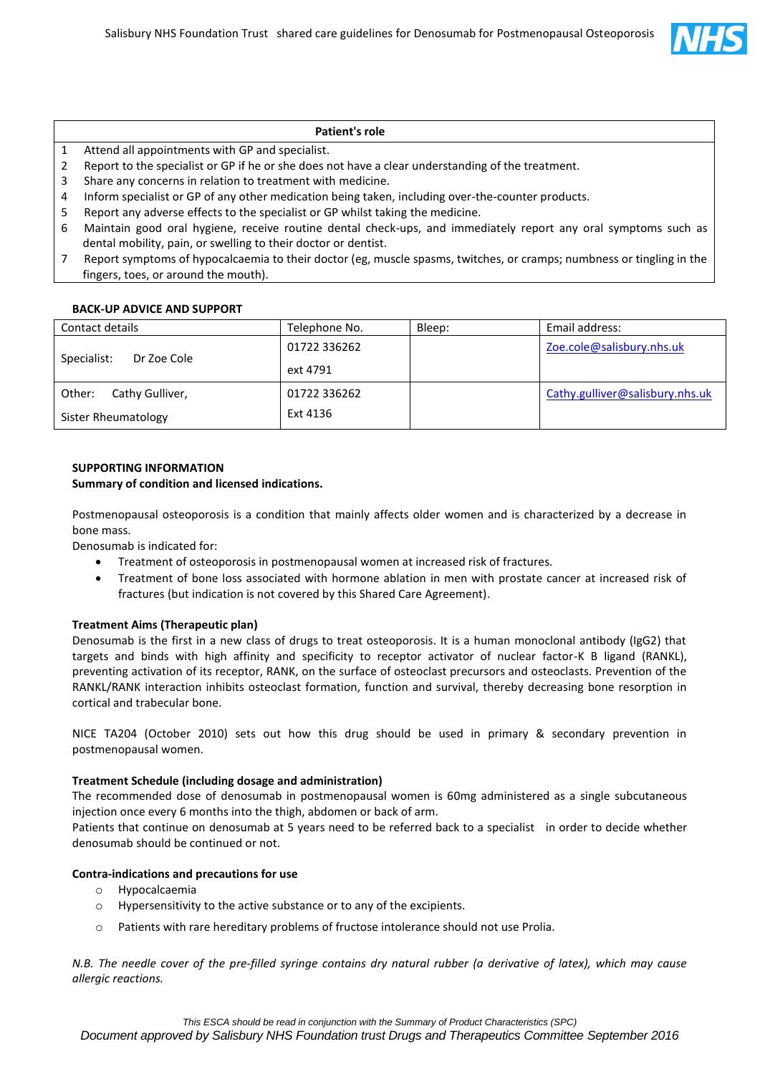

#### **Patient's role**

- 1 Attend all appointments with GP and specialist.
- 2 Report to the specialist or GP if he or she does not have a clear understanding of the treatment.
- 3 Share any concerns in relation to treatment with medicine.
- 4 Inform specialist or GP of any other medication being taken, including over-the-counter products.
- 5 Report any adverse effects to the specialist or GP whilst taking the medicine.
- 6 Maintain good oral hygiene, receive routine dental check-ups, and immediately report any oral symptoms such as dental mobility, pain, or swelling to their doctor or dentist.
- 7 Report symptoms of hypocalcaemia to their doctor (eg, muscle spasms, twitches, or cramps; numbness or tingling in the fingers, toes, or around the mouth).

### **BACK-UP ADVICE AND SUPPORT**

| Contact details            | Telephone No. | Bleep: | Email address:                  |
|----------------------------|---------------|--------|---------------------------------|
| Specialist:<br>Dr Zoe Cole | 01722 336262  |        | Zoe.cole@salisbury.nhs.uk       |
|                            | ext 4791      |        |                                 |
| Other:<br>Cathy Gulliver,  | 01722 336262  |        | Cathy.gulliver@salisbury.nhs.uk |
| Sister Rheumatology        | Ext 4136      |        |                                 |

### **SUPPORTING INFORMATION**

#### **Summary of condition and licensed indications.**

Postmenopausal osteoporosis is a condition that mainly affects older women and is characterized by a decrease in bone mass.

Denosumab is indicated for:

- Treatment of osteoporosis in postmenopausal women at increased risk of fractures.
- Treatment of bone loss associated with hormone ablation in men with prostate cancer at increased risk of fractures (but indication is not covered by this Shared Care Agreement).

### **Treatment Aims (Therapeutic plan)**

Denosumab is the first in a new class of drugs to treat osteoporosis. It is a human monoclonal antibody (IgG2) that targets and binds with high affinity and specificity to receptor activator of nuclear factor-K B ligand (RANKL), preventing activation of its receptor, RANK, on the surface of osteoclast precursors and osteoclasts. Prevention of the RANKL/RANK interaction inhibits osteoclast formation, function and survival, thereby decreasing bone resorption in cortical and trabecular bone.

NICE TA204 (October 2010) sets out how this drug should be used in primary & secondary prevention in postmenopausal women.

### **Treatment Schedule (including dosage and administration)**

The recommended dose of denosumab in postmenopausal women is 60mg administered as a single subcutaneous injection once every 6 months into the thigh, abdomen or back of arm.

Patients that continue on denosumab at 5 years need to be referred back to a specialist in order to decide whether denosumab should be continued or not.

### **Contra-indications and precautions for use**

- o Hypocalcaemia
- o Hypersensitivity to the active substance or to any of the excipients.
- o Patients with rare hereditary problems of fructose intolerance should not use Prolia.

*N.B. The needle cover of the pre-filled syringe contains dry natural rubber (a derivative of latex), which may cause allergic reactions.*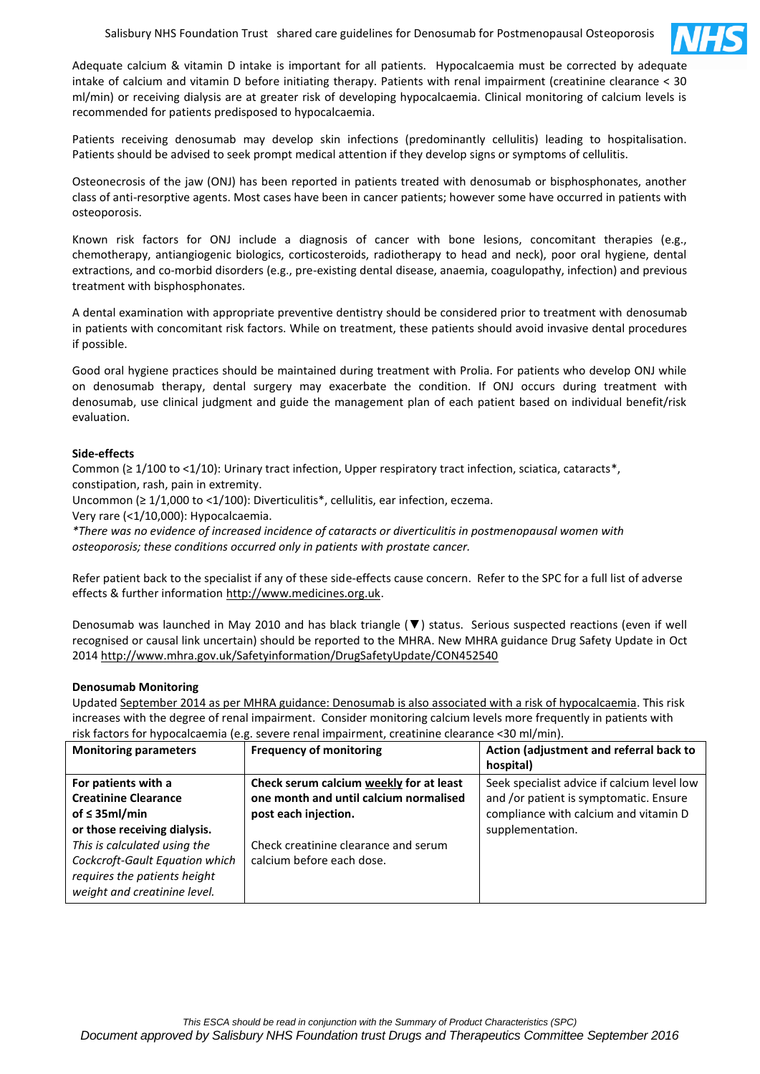

Adequate calcium & vitamin D intake is important for all patients. Hypocalcaemia must be corrected by adequate intake of calcium and vitamin D before initiating therapy. Patients with renal impairment (creatinine clearance < 30 ml/min) or receiving dialysis are at greater risk of developing hypocalcaemia. Clinical monitoring of calcium levels is recommended for patients predisposed to hypocalcaemia.

Patients receiving denosumab may develop skin infections (predominantly cellulitis) leading to hospitalisation. Patients should be advised to seek prompt medical attention if they develop signs or symptoms of cellulitis.

Osteonecrosis of the jaw (ONJ) has been reported in patients treated with denosumab or bisphosphonates, another class of anti-resorptive agents. Most cases have been in cancer patients; however some have occurred in patients with osteoporosis.

Known risk factors for ONJ include a diagnosis of cancer with bone lesions, concomitant therapies (e.g., chemotherapy, antiangiogenic biologics, corticosteroids, radiotherapy to head and neck), poor oral hygiene, dental extractions, and co-morbid disorders (e.g., pre-existing dental disease, anaemia, coagulopathy, infection) and previous treatment with bisphosphonates.

A dental examination with appropriate preventive dentistry should be considered prior to treatment with denosumab in patients with concomitant risk factors. While on treatment, these patients should avoid invasive dental procedures if possible.

Good oral hygiene practices should be maintained during treatment with Prolia. For patients who develop ONJ while on denosumab therapy, dental surgery may exacerbate the condition. If ONJ occurs during treatment with denosumab, use clinical judgment and guide the management plan of each patient based on individual benefit/risk evaluation.

### **Side-effects**

Common (≥ 1/100 to <1/10): Urinary tract infection, Upper respiratory tract infection, sciatica, cataracts\*, constipation, rash, pain in extremity.

Uncommon (≥ 1/1,000 to <1/100): Diverticulitis\*, cellulitis, ear infection, eczema.

Very rare (<1/10,000): Hypocalcaemia.

*\*There was no evidence of increased incidence of cataracts or diverticulitis in postmenopausal women with osteoporosis; these conditions occurred only in patients with prostate cancer.*

Refer patient back to the specialist if any of these side-effects cause concern. Refer to the SPC for a full list of adverse effects & further information [http://www.medicines.org.uk.](http://www.medicines.org.uk/)

Denosumab was launched in May 2010 and has black triangle (▼) status. Serious suspected reactions (even if well recognised or causal link uncertain) should be reported to the MHRA. New MHRA guidance Drug Safety Update in Oct 2014<http://www.mhra.gov.uk/Safetyinformation/DrugSafetyUpdate/CON452540>

### **Denosumab Monitoring**

Updated [September 2014 as per MHRA guidance: Denosumab is also associated with a risk of hypocalcaemia.](https://www.gov.uk/drug-safety-update/denosumab-updated-recommendations) This risk increases with the degree of renal impairment. Consider monitoring calcium levels more frequently in patients with risk factors for hypocalcaemia (e.g. severe renal impairment, creatinine clearance <30 ml/min).

| <b>Monitoring parameters</b>   | <b>Frequency of monitoring</b>          | Action (adjustment and referral back to     |
|--------------------------------|-----------------------------------------|---------------------------------------------|
|                                |                                         | hospital)                                   |
| For patients with a            | Check serum calcium weekly for at least | Seek specialist advice if calcium level low |
| <b>Creatinine Clearance</b>    | one month and until calcium normalised  | and /or patient is symptomatic. Ensure      |
| of $\leq$ 35ml/min             | post each injection.                    | compliance with calcium and vitamin D       |
| or those receiving dialysis.   |                                         | supplementation.                            |
| This is calculated using the   | Check creatinine clearance and serum    |                                             |
| Cockcroft-Gault Equation which | calcium before each dose.               |                                             |
| requires the patients height   |                                         |                                             |
| weight and creatinine level.   |                                         |                                             |